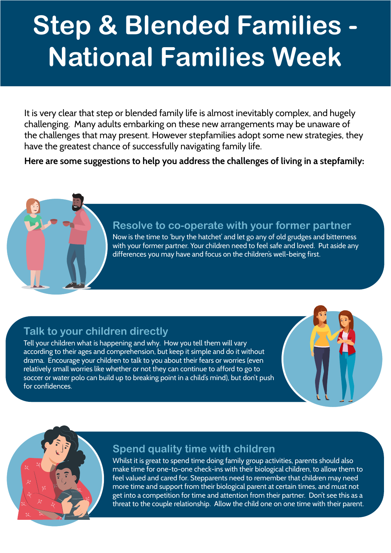# **Step & Blended Families - National Families Week**

It is very clear that step or blended family life is almost inevitably complex, and hugely challenging. Many adults embarking on these new arrangements may be unaware of the challenges that may present. However stepfamilies adopt some new strategies, they have the greatest chance of successfully navigating family life.

**Here are some suggestions to help you address the challenges of living in a stepfamily:** 



**Resolve to co-operate with your former partner**

Now is the time to 'bury the hatchet' and let go any of old grudges and bitterness with your former partner. Your children need to feel safe and loved. Put aside any differences you may have and focus on the children's well-being first.

### **Talk to your children directly**

Tell your children what is happening and why. How you tell them will vary according to their ages and comprehension, but keep it simple and do it without drama. Encourage your children to talk to you about their fears or worries (even relatively small worries like whether or not they can continue to afford to go to soccer or water polo can build up to breaking point in a child's mind), but don't push for confidences.



#### **Spend quality time with children**

Whilst it is great to spend time doing family group activities, parents should also make time for one-to-one check-ins with their biological children, to allow them to feel valued and cared for. Stepparents need to remember that children may need more time and support from their biological parent at certain times, and must not get into a competition for time and attention from their partner. Don't see this as a threat to the couple relationship. Allow the child one on one time with their parent.